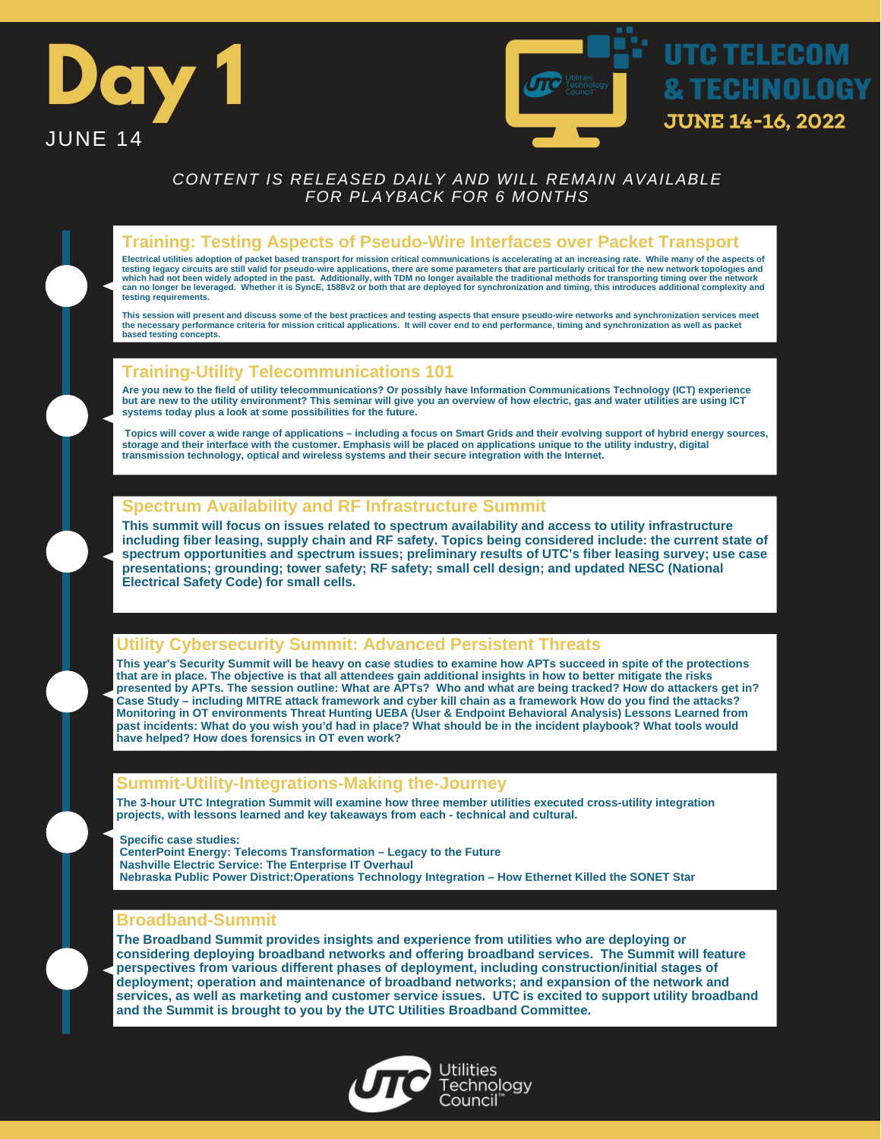



## **Training: Testing Aspects of Pseudo-Wire Interfaces over Packet Transport**

Electrical utilities adoption of packet based transport for mission critical communications is accelerating at an increasing rate. While many of the aspects of<br>testing legacy circuits are still valid for pseudo-wire applic **can no longer be leveraged. Whether it is SyncE, 1588v2 or both that are deployed for synchronization and timing, this introduces additional complexity and testing requirements.**

**This session will present and discuss some of the best practices and testing aspects that ensure pseudo-wire networks and synchronization services meet the necessary performance criteria for mission critical applications. It will cover end to end performance, timing and synchronization as well as packet based testing concepts.**

## **Training-Utility Telecommunications 101**

**Are you new to the field of utility telecommunications? Or possibly have Information Communications Technology (ICT) experience but are new to the utility environment? This seminar will give you an overview of how electric, gas and water utilities are using ICT systems today plus a look at some possibilities for the future.** 

**Topics will cover a wide range of applications – including a focus on Smart Grids and their evolving support of hybrid energy sources, storage and their interface with the customer. Emphasis will be placed on applications unique to the utility industry, digital transmission technology, optical and wireless systems and their secure integration with the Internet.**

### **Spectrum Availability and RF Infrastructure Summit**

**This summit will focus on issues related to spectrum availability and access to utility infrastructure including fiber leasing, supply chain and RF safety. Topics being considered include: the current state of spectrum opportunities and spectrum issues; preliminary results of UTC's fiber leasing survey; use case presentations; grounding; tower safety; RF safety; small cell design; and updated NESC (National Electrical Safety Code) for small cells.**

## **Utility Cybersecurity Summit: Advanced Persistent Threats**

**This year's Security Summit will be heavy on case studies to examine how APTs succeed in spite of the protections that are in place. The objective is that all attendees gain additional insights in how to better mitigate the risks presented by APTs. The session outline: What are APTs? Who and what are being tracked? How do attackers get in? Case Study – including MITRE attack framework and cyber kill chain as a framework How do you find the attacks? Monitoring in OT environments Threat Hunting UEBA (User & Endpoint Behavioral Analysis) Lessons Learned from past incidents: What do you wish you'd had in place? What should be in the incident playbook? What tools would have helped? How does forensics in OT even work?**

### **Summit-Utility-Integrations-Making the-Journey**

**The 3-hour UTC Integration Summit will examine how three member utilities executed cross-utility integration projects, with lessons learned and key takeaways from each - technical and cultural.**

**Specific case studies:**

**CenterPoint Energy: Telecoms Transformation – Legacy to the Future Nashville Electric Service: The Enterprise IT Overhaul Nebraska Public Power District:Operations Technology Integration – How Ethernet Killed the SONET Star**

### **Broadband-Summit**

**The Broadband Summit provides insights and experience from utilities who are deploying or considering deploying broadband networks and offering broadband services. The Summit will feature perspectives from various different phases of deployment, including construction/initial stages of deployment; operation and maintenance of broadband networks; and expansion of the network and services, as well as marketing and customer service issues. UTC is excited to support utility broadband and the Summit is brought to you by the UTC Utilities Broadband Committee.**

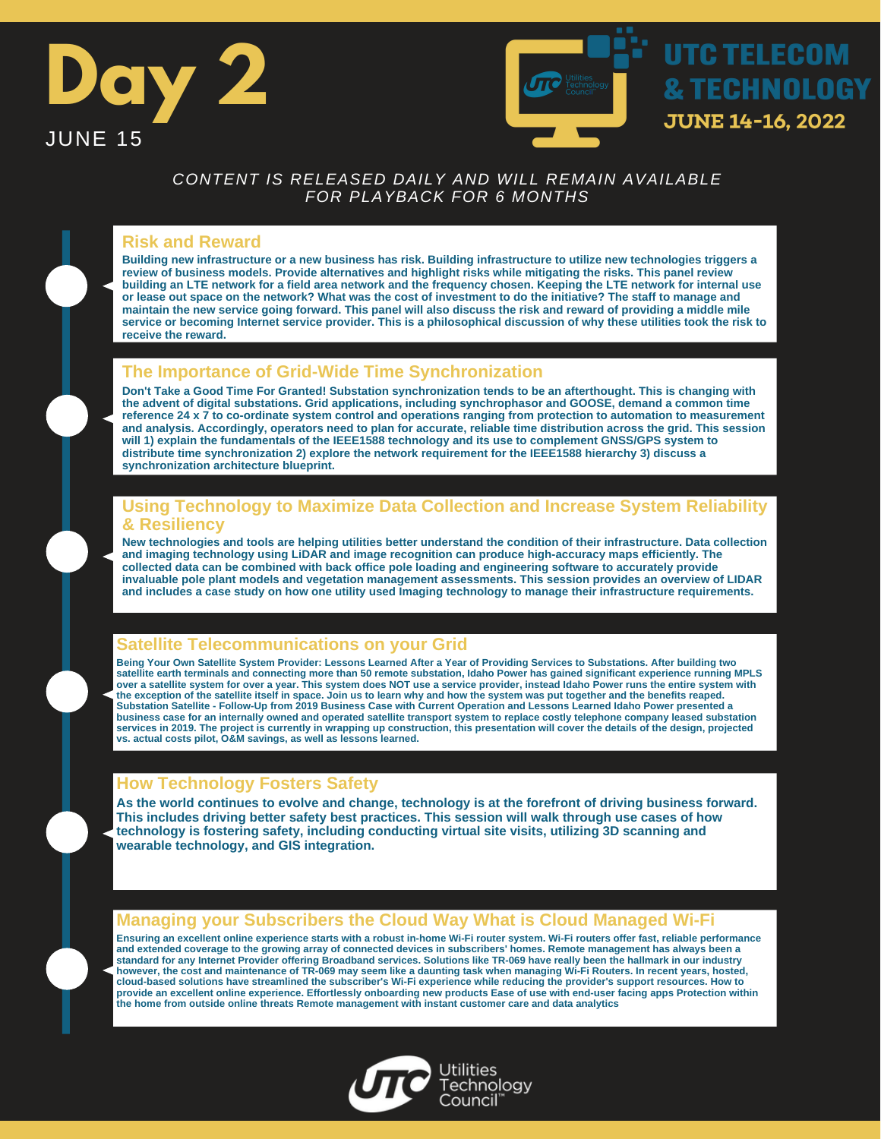



### **Risk and Reward**

**Building new infrastructure or a new business has risk. Building infrastructure to utilize new technologies triggers a review of business models. Provide alternatives and highlight risks while mitigating the risks. This panel review building an LTE network for a field area network and the frequency chosen. Keeping the LTE network for internal use or lease out space on the network? What was the cost of investment to do the initiative? The staff to manage and maintain the new service going forward. This panel will also discuss the risk and reward of providing a middle mile service or becoming Internet service provider. This is a philosophical discussion of why these utilities took the risk to receive the reward.**

## **The Importance of Grid-Wide Time Synchronization**

**Don't Take a Good Time For Granted! Substation synchronization tends to be an afterthought. This is changing with the advent of digital substations. Grid applications, including synchrophasor and GOOSE, demand a common time reference 24 x 7 to co-ordinate system control and operations ranging from protection to automation to measurement and analysis. Accordingly, operators need to plan for accurate, reliable time distribution across the grid. This session will 1) explain the fundamentals of the IEEE1588 technology and its use to complement GNSS/GPS system to distribute time synchronization 2) explore the network requirement for the IEEE1588 hierarchy 3) discuss a synchronization architecture blueprint.**

### **Using Technology to Maximize Data Collection and Increase System Reliability & Resiliency**

**New technologies and tools are helping utilities better understand the condition of their infrastructure. Data collection and imaging technology using LiDAR and image recognition can produce high-accuracy maps efficiently. The collected data can be combined with back office pole loading and engineering software to accurately provide invaluable pole plant models and vegetation management assessments. This session provides an overview of LIDAR and includes a case study on how one utility used Imaging technology to manage their infrastructure requirements.**

## **Satellite Telecommunications on your Grid**

**Being Your Own Satellite System Provider: Lessons Learned After a Year of Providing Services to Substations. After building two satellite earth terminals and connecting more than 50 remote substation, Idaho Power has gained significant experience running MPLS over a satellite system for over a year. This system does NOT use a service provider, instead Idaho Power runs the entire system with** the exception of the satellite itself in space. Join us to learn why and how the system was put together and the benefits reaped.<br>Substation Satellite - Follow-Up from 2019 Business Case with Current Operation and Lessons **business case for an internally owned and operated satellite transport system to replace costly telephone company leased substation services in 2019. The project is currently in wrapping up construction, this presentation will cover the details of the design, projected vs. actual costs pilot, O&M savings, as well as lessons learned.**

## **How Technology Fosters Safety**

**As the world continues to evolve and change, technology is at the forefront of driving business forward. This includes driving better safety best practices. This session will walk through use cases of how technology is fostering safety, including conducting virtual site visits, utilizing 3D scanning and wearable technology, and GIS integration.**

### **Managing your Subscribers the Cloud Way What is Cloud Managed Wi-Fi**

**Ensuring an excellent online experience starts with a robust in-home Wi-Fi router system. Wi-Fi routers offer fast, reliable performance and extended coverage to the growing array of connected devices in subscribers' homes. Remote management has always been a standard for any Internet Provider offering Broadband services. Solutions like TR-069 have really been the hallmark in our industry however, the cost and maintenance of TR-069 may seem like a daunting task when managing Wi-Fi Routers. In recent years, hosted, cloud-based solutions have streamlined the subscriber's Wi-Fi experience while reducing the provider's support resources. How to provide an excellent online experience. Effortlessly onboarding new products Ease of use with end-user facing apps Protection within the home from outside online threats Remote management with instant customer care and data analytics**

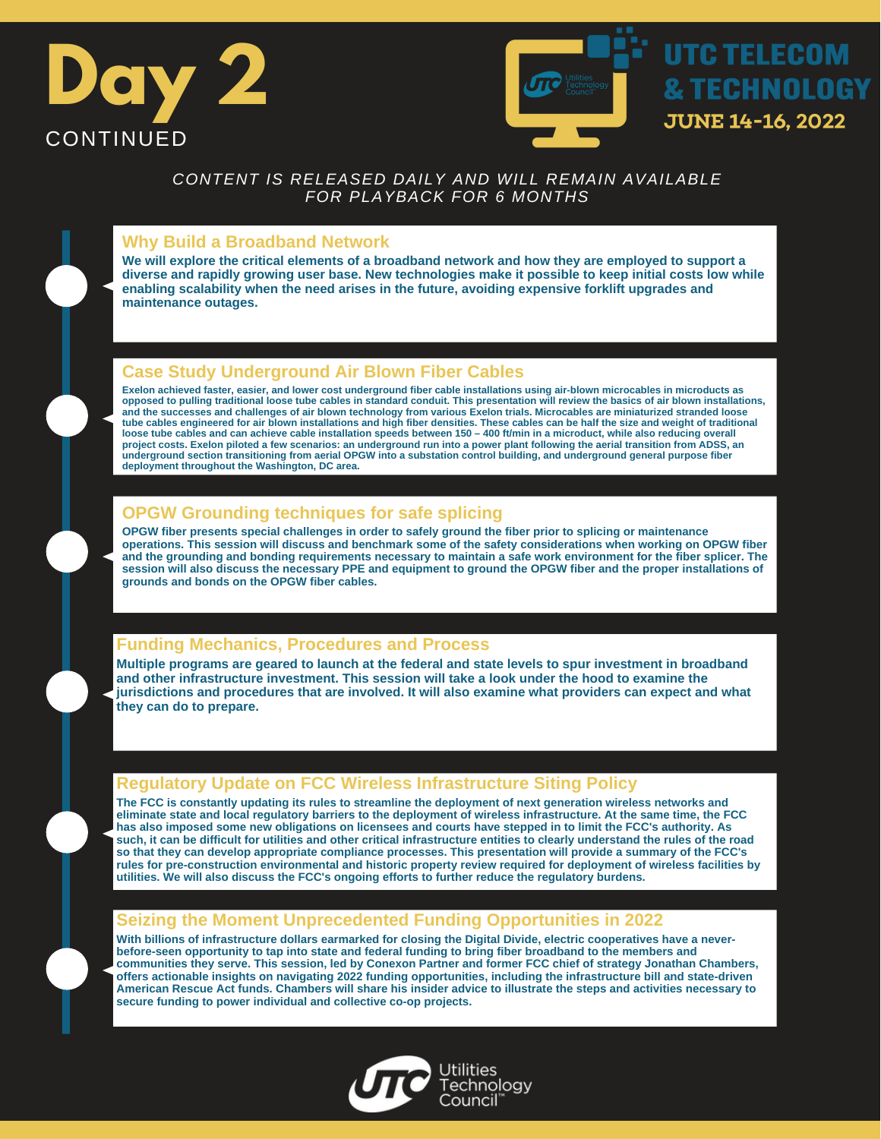



## **Why Build a Broadband Network**

**We will explore the critical elements of a broadband network and how they are employed to support a diverse and rapidly growing user base. New technologies make it possible to keep initial costs low while enabling scalability when the need arises in the future, avoiding expensive forklift upgrades and maintenance outages.**

# **Case Study Underground Air Blown Fiber Cables**

**Exelon achieved faster, easier, and lower cost underground fiber cable installations using air-blown microcables in microducts as opposed to pulling traditional loose tube cables in standard conduit. This presentation will review the basics of air blown installations, and the successes and challenges of air blown technology from various Exelon trials. Microcables are miniaturized stranded loose** tube cables engineered for air blown installations and high fiber densities. These cables can be half the size and weight of traditional<br>loose tube cables and can achieve cable installation speeds between 150 – 400 ft/min **project costs. Exelon piloted a few scenarios: an underground run into a power plant following the aerial transition from ADSS, an underground section transitioning from aerial OPGW into a substation control building, and underground general purpose fiber deployment throughout the Washington, DC area.**

# **OPGW Grounding techniques for safe splicing**

**OPGW fiber presents special challenges in order to safely ground the fiber prior to splicing or maintenance operations. This session will discuss and benchmark some of the safety considerations when working on OPGW fiber and the grounding and bonding requirements necessary to maintain a safe work environment for the fiber splicer. The session will also discuss the necessary PPE and equipment to ground the OPGW fiber and the proper installations of grounds and bonds on the OPGW fiber cables.**

## **Funding Mechanics, Procedures and Process**

**Multiple programs are geared to launch at the federal and state levels to spur investment in broadband and other infrastructure investment. This session will take a look under the hood to examine the jurisdictions and procedures that are involved. It will also examine what providers can expect and what they can do to prepare.**

## **Regulatory Update on FCC Wireless Infrastructure Siting Policy**

**The FCC is constantly updating its rules to streamline the deployment of next generation wireless networks and eliminate state and local regulatory barriers to the deployment of wireless infrastructure. At the same time, the FCC has also imposed some new obligations on licensees and courts have stepped in to limit the FCC's authority. As such, it can be difficult for utilities and other critical infrastructure entities to clearly understand the rules of the road so that they can develop appropriate compliance processes. This presentation will provide a summary of the FCC's rules for pre-construction environmental and historic property review required for deployment of wireless facilities by utilities. We will also discuss the FCC's ongoing efforts to further reduce the regulatory burdens.**

### **Seizing the Moment Unprecedented Funding Opportunities in 2022**

**With billions of infrastructure dollars earmarked for closing the Digital Divide, electric cooperatives have a neverbefore-seen opportunity to tap into state and federal funding to bring fiber broadband to the members and communities they serve. This session, led by Conexon Partner and former FCC chief of strategy Jonathan Chambers, offers actionable insights on navigating 2022 funding opportunities, including the infrastructure bill and state-driven American Rescue Act funds. Chambers will share his insider advice to illustrate the steps and activities necessary to secure funding to power individual and collective co-op projects.**

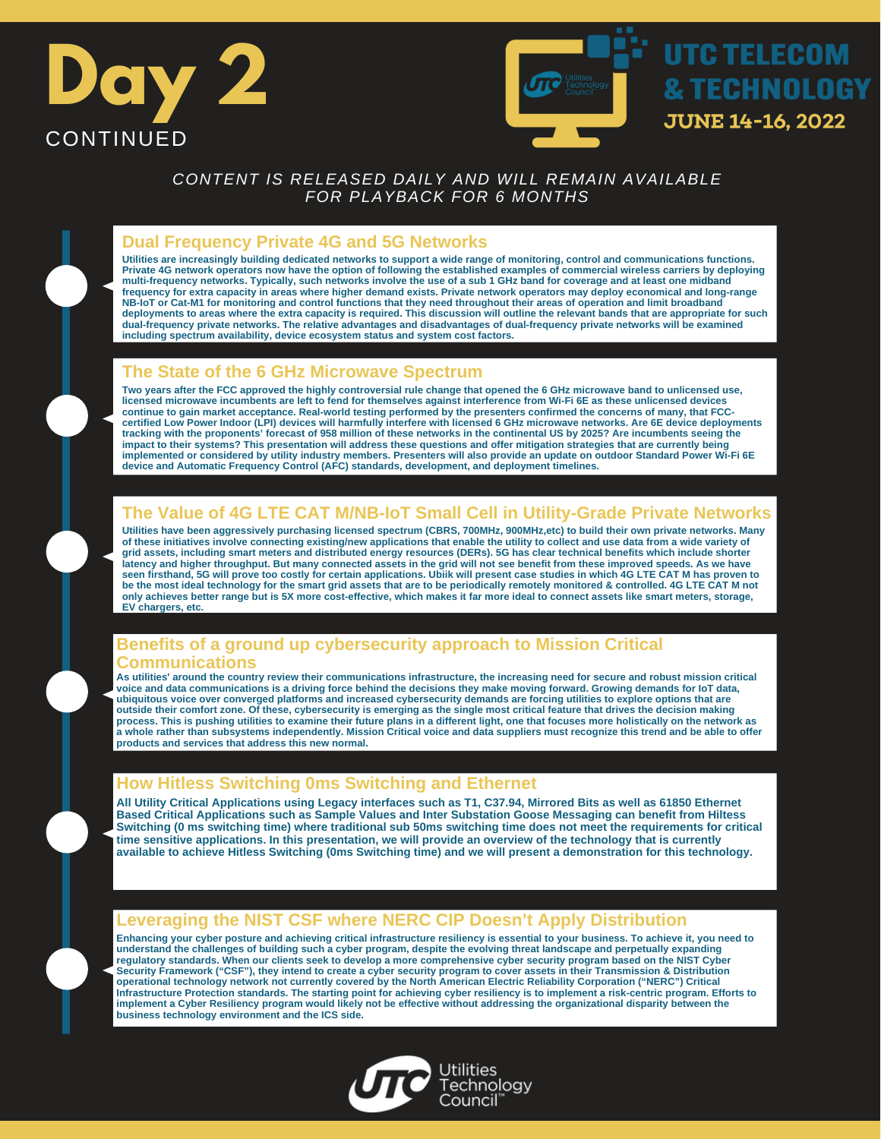



### **Dual Frequency Private 4G and 5G Networks**

Utilities are increasingly building dedicated networks to support a wide range of monitoring, control and communications functions.<br>Private 4G network operators now have the option of following the established examples of **multi-frequency networks. Typically, such networks involve the use of a sub 1 GHz band for coverage and at least one midband frequency for extra capacity in areas where higher demand exists. Private network operators may deploy economical and long-range NB-IoT or Cat-M1 for monitoring and control functions that they need throughout their areas of operation and limit broadband deployments to areas where the extra capacity is required. This discussion will outline the relevant bands that are appropriate for such dual-frequency private networks. The relative advantages and disadvantages of dual-frequency private networks will be examined including spectrum availability, device ecosystem status and system cost factors.**

### **The State of the 6 GHz Microwave Spectrum**

**Two years after the FCC approved the highly controversial rule change that opened the 6 GHz microwave band to unlicensed use, licensed microwave incumbents are left to fend for themselves against interference from Wi-Fi 6E as these unlicensed devices continue to gain market acceptance. Real-world testing performed by the presenters confirmed the concerns of many, that FCCcertified Low Power Indoor (LPI) devices will harmfully interfere with licensed 6 GHz microwave networks. Are 6E device deployments tracking with the proponents' forecast of 958 million of these networks in the continental US by 2025? Are incumbents seeing the impact to their systems? This presentation will address these questions and offer mitigation strategies that are currently being implemented or considered by utility industry members. Presenters will also provide an update on outdoor Standard Power Wi-Fi 6E device and Automatic Frequency Control (AFC) standards, development, and deployment timelines.**

### **The Value of 4G LTE CAT M/NB-IoT Small Cell in Utility-Grade Private Networks**

**Utilities have been aggressively purchasing licensed spectrum (CBRS, 700MHz, 900MHz,etc) to build their own private networks. Many of these initiatives involve connecting existing/new applications that enable the utility to collect and use data from a wide variety of grid assets, including smart meters and distributed energy resources (DERs). 5G has clear technical benefits which include shorter latency and higher throughput. But many connected assets in the grid will not see benefit from these improved speeds. As we have seen firsthand, 5G will prove too costly for certain applications. Ubiik will present case studies in which 4G LTE CAT M has proven to be the most ideal technology for the smart grid assets that are to be periodically remotely monitored & controlled. 4G LTE CAT M not only achieves better range but is 5X more cost-effective, which makes it far more ideal to connect assets like smart meters, storage, EV chargers, etc.**

### **Benefits of a ground up cybersecurity approach to Mission Critical Communications**

**As utilities' around the country review their communications infrastructure, the increasing need for secure and robust mission critical voice and data communications is a driving force behind the decisions they make moving forward. Growing demands for IoT data, ubiquitous voice over converged platforms and increased cybersecurity demands are forcing utilities to explore options that are outside their comfort zone. Of these, cybersecurity is emerging as the single most critical feature that drives the decision making process. This is pushing utilities to examine their future plans in a different light, one that focuses more holistically on the network as a whole rather than subsystems independently. Mission Critical voice and data suppliers must recognize this trend and be able to offer products and services that address this new normal.**

### **How Hitless Switching 0ms Switching and Ethernet**

**All Utility Critical Applications using Legacy interfaces such as T1, C37.94, Mirrored Bits as well as 61850 Ethernet Based Critical Applications such as Sample Values and Inter Substation Goose Messaging can benefit from Hiltess Switching (0 ms switching time) where traditional sub 50ms switching time does not meet the requirements for critical time sensitive applications. In this presentation, we will provide an overview of the technology that is currently available to achieve Hitless Switching (0ms Switching time) and we will present a demonstration for this technology.**

### **Leveraging the NIST CSF where NERC CIP Doesn't Apply Distribution**

**Enhancing your cyber posture and achieving critical infrastructure resiliency is essential to your business. To achieve it, you need to understand the challenges of building such a cyber program, despite the evolving threat landscape and perpetually expanding regulatory standards. When our clients seek to develop a more comprehensive cyber security program based on the NIST Cyber Security Framework ("CSF"), they intend to create a cyber security program to cover assets in their Transmission & Distribution operational technology network not currently covered by the North American Electric Reliability Corporation ("NERC") Critical Infrastructure Protection standards. The starting point for achieving cyber resiliency is to implement a risk-centric program. Efforts to implement a Cyber Resiliency program would likely not be effective without addressing the organizational disparity between the business technology environment and the ICS side.**

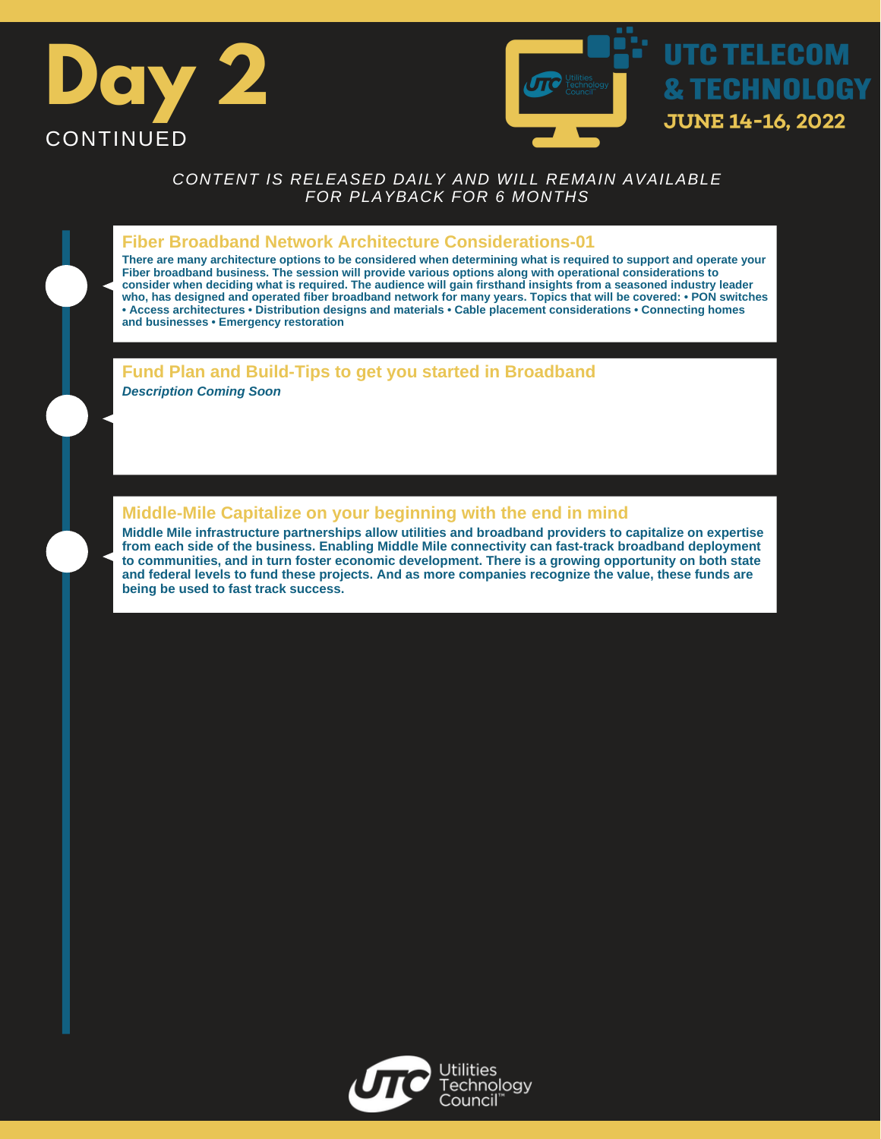



#### **Fiber Broadband Network Architecture Considerations-01**

**There are many architecture options to be considered when determining what is required to support and operate your Fiber broadband business. The session will provide various options along with operational considerations to consider when deciding what is required. The audience will gain firsthand insights from a seasoned industry leader who, has designed and operated fiber broadband network for many years. Topics that will be covered: • PON switches • Access architectures • Distribution designs and materials • Cable placement considerations • Connecting homes and businesses • Emergency restoration**

### **Fund Plan and Build-Tips to get you started in Broadband**

*Description Coming Soon*

## **Middle-Mile Capitalize on your beginning with the end in mind**

**Middle Mile infrastructure partnerships allow utilities and broadband providers to capitalize on expertise from each side of the business. Enabling Middle Mile connectivity can fast-track broadband deployment to communities, and in turn foster economic development. There is a growing opportunity on both state and federal levels to fund these projects. And as more companies recognize the value, these funds are being be used to fast track success.**

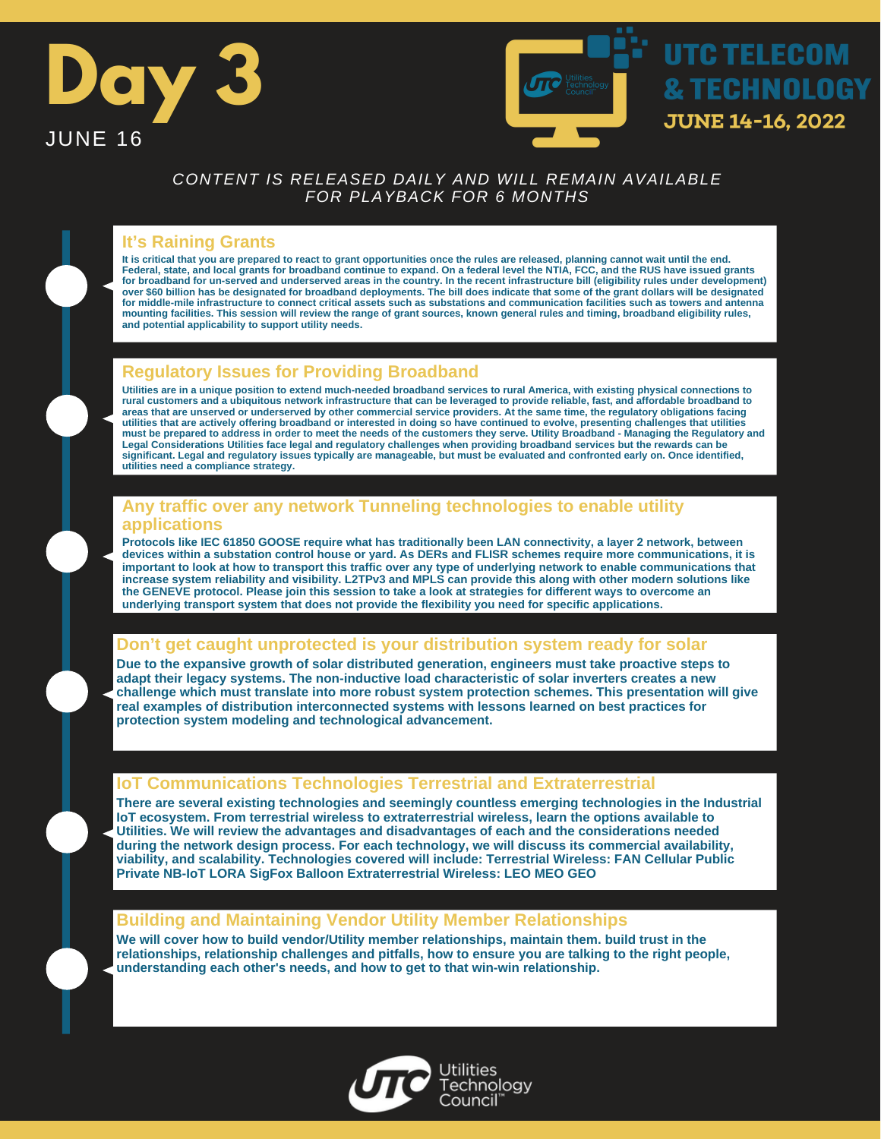



## **It's Raining Grants**

**It is critical that you are prepared to react to grant opportunities once the rules are released, planning cannot wait until the end. Federal, state, and local grants for broadband continue to expand. On a federal level the NTIA, FCC, and the RUS have issued grants for broadband for un-served and underserved areas in the country. In the recent infrastructure bill (eligibility rules under development) over \$60 billion has be designated for broadband deployments. The bill does indicate that some of the grant dollars will be designated for middle-mile infrastructure to connect critical assets such as substations and communication facilities such as towers and antenna mounting facilities. This session will review the range of grant sources, known general rules and timing, broadband eligibility rules, and potential applicability to support utility needs.**

# **Regulatory Issues for Providing Broadband**

**Utilities are in a unique position to extend much-needed broadband services to rural America, with existing physical connections to rural customers and a ubiquitous network infrastructure that can be leveraged to provide reliable, fast, and affordable broadband to areas that are unserved or underserved by other commercial service providers. At the same time, the regulatory obligations facing utilities that are actively offering broadband or interested in doing so have continued to evolve, presenting challenges that utilities must be prepared to address in order to meet the needs of the customers they serve. Utility Broadband - Managing the Regulatory and Legal Considerations Utilities face legal and regulatory challenges when providing broadband services but the rewards can be significant. Legal and regulatory issues typically are manageable, but must be evaluated and confronted early on. Once identified, utilities need a compliance strategy.**

### **Any traffic over any network Tunneling technologies to enable utility applications**

**Protocols like IEC 61850 GOOSE require what has traditionally been LAN connectivity, a layer 2 network, between devices within a substation control house or yard. As DERs and FLISR schemes require more communications, it is important to look at how to transport this traffic over any type of underlying network to enable communications that increase system reliability and visibility. L2TPv3 and MPLS can provide this along with other modern solutions like the GENEVE protocol. Please join this session to take a look at strategies for different ways to overcome an underlying transport system that does not provide the flexibility you need for specific applications.**

## **Don't get caught unprotected is your distribution system ready for solar**

**Due to the expansive growth of solar distributed generation, engineers must take proactive steps to adapt their legacy systems. The non-inductive load characteristic of solar inverters creates a new challenge which must translate into more robust system protection schemes. This presentation will give real examples of distribution interconnected systems with lessons learned on best practices for protection system modeling and technological advancement.**

## **IoT Communications Technologies Terrestrial and Extraterrestrial**

**There are several existing technologies and seemingly countless emerging technologies in the Industrial IoT ecosystem. From terrestrial wireless to extraterrestrial wireless, learn the options available to Utilities. We will review the advantages and disadvantages of each and the considerations needed during the network design process. For each technology, we will discuss its commercial availability, viability, and scalability. Technologies covered will include: Terrestrial Wireless: FAN Cellular Public Private NB-IoT LORA SigFox Balloon Extraterrestrial Wireless: LEO MEO GEO**

## **Building and Maintaining Vendor Utility Member Relationships**

**We will cover how to build vendor/Utility member relationships, maintain them. build trust in the relationships, relationship challenges and pitfalls, how to ensure you are talking to the right people, understanding each other's needs, and how to get to that win-win relationship.**

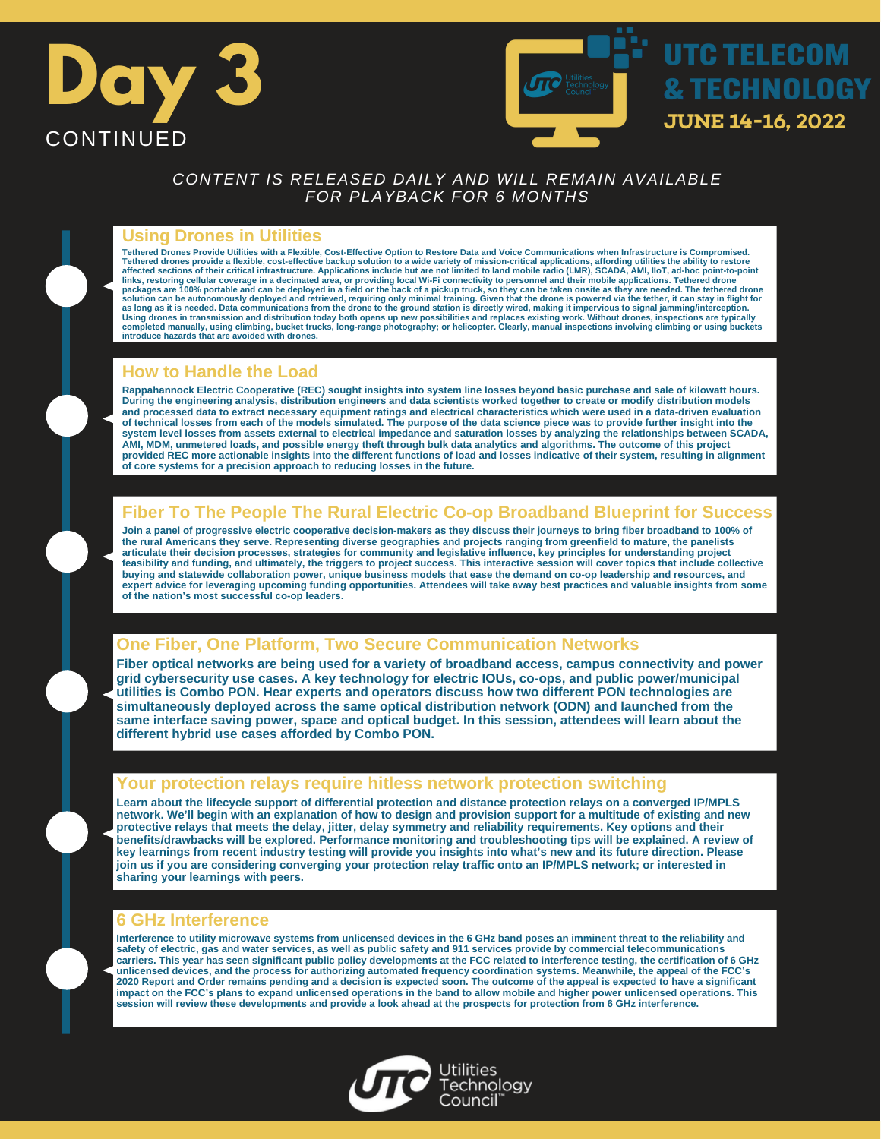



### **Using Drones in Utilities**

**Tethered Drones Provide Utilities with a Flexible, Cost-Effective Option to Restore Data and Voice Communications when Infrastructure is Compromised.** Tethered drones provide a flexible, cost-effective backup solution to a wide variety of mission-critical applications, affording utilities the ability to restore<br>affected sections of their critical infrastructure. Applicat **links, restoring cellular coverage in a decimated area, or providing local Wi-Fi connectivity to personnel and their mobile applications. Tethered drone** packages are 100% portable and can be deployed in a field or the back of a pickup truck, so they can be taken onsite as they are needed. The tethered drone<br>solution can be autonomously deployed and retrieved, requiring onl Using drones in transmission and distribution today both opens up new possibilities and replaces existing work. Without drones, inspections are typically<br>completed manually, using climbing, bucket trucks, long-range photog **introduce hazards that are avoided with drones.**

## **How to Handle the Load**

**Rappahannock Electric Cooperative (REC) sought insights into system line losses beyond basic purchase and sale of kilowatt hours. During the engineering analysis, distribution engineers and data scientists worked together to create or modify distribution models and processed data to extract necessary equipment ratings and electrical characteristics which were used in a data-driven evaluation of technical losses from each of the models simulated. The purpose of the data science piece was to provide further insight into the** system level losses from assets external to electrical impedance and saturation losses by analyzing the relationships between SCADA,<br>AMI, MDM, unmetered loads, and possible energy theft through bulk data analytics and algo **provided REC more actionable insights into the different functions of load and losses indicative of their system, resulting in alignment of core systems for a precision approach to reducing losses in the future.**

# **Fiber To The People The Rural Electric Co-op Broadband Blueprint for Success**

**Join a panel of progressive electric cooperative decision-makers as they discuss their journeys to bring fiber broadband to 100% of the rural Americans they serve. Representing diverse geographies and projects ranging from greenfield to mature, the panelists articulate their decision processes, strategies for community and legislative influence, key principles for understanding project feasibility and funding, and ultimately, the triggers to project success. This interactive session will cover topics that include collective buying and statewide collaboration power, unique business models that ease the demand on co-op leadership and resources, and expert advice for leveraging upcoming funding opportunities. Attendees will take away best practices and valuable insights from some of the nation's most successful co-op leaders.**

## **One Fiber, One Platform, Two Secure Communication Networks**

**Fiber optical networks are being used for a variety of broadband access, campus connectivity and power grid cybersecurity use cases. A key technology for electric IOUs, co-ops, and public power/municipal utilities is Combo PON. Hear experts and operators discuss how two different PON technologies are simultaneously deployed across the same optical distribution network (ODN) and launched from the same interface saving power, space and optical budget. In this session, attendees will learn about the different hybrid use cases afforded by Combo PON.**

### **Your protection relays require hitless network protection switching**

**Learn about the lifecycle support of differential protection and distance protection relays on a converged IP/MPLS network. We'll begin with an explanation of how to design and provision support for a multitude of existing and new protective relays that meets the delay, jitter, delay symmetry and reliability requirements. Key options and their benefits/drawbacks will be explored. Performance monitoring and troubleshooting tips will be explained. A review of key learnings from recent industry testing will provide you insights into what's new and its future direction. Please join us if you are considering converging your protection relay traffic onto an IP/MPLS network; or interested in sharing your learnings with peers.**

### **6 GHz Interference**

**Interference to utility microwave systems from unlicensed devices in the 6 GHz band poses an imminent threat to the reliability and safety of electric, gas and water services, as well as public safety and 911 services provide by commercial telecommunications carriers. This year has seen significant public policy developments at the FCC related to interference testing, the certification of 6 GHz unlicensed devices, and the process for authorizing automated frequency coordination systems. Meanwhile, the appeal of the FCC's 2020 Report and Order remains pending and a decision is expected soon. The outcome of the appeal is expected to have a significant impact on the FCC's plans to expand unlicensed operations in the band to allow mobile and higher power unlicensed operations. This session will review these developments and provide a look ahead at the prospects for protection from 6 GHz interference.**

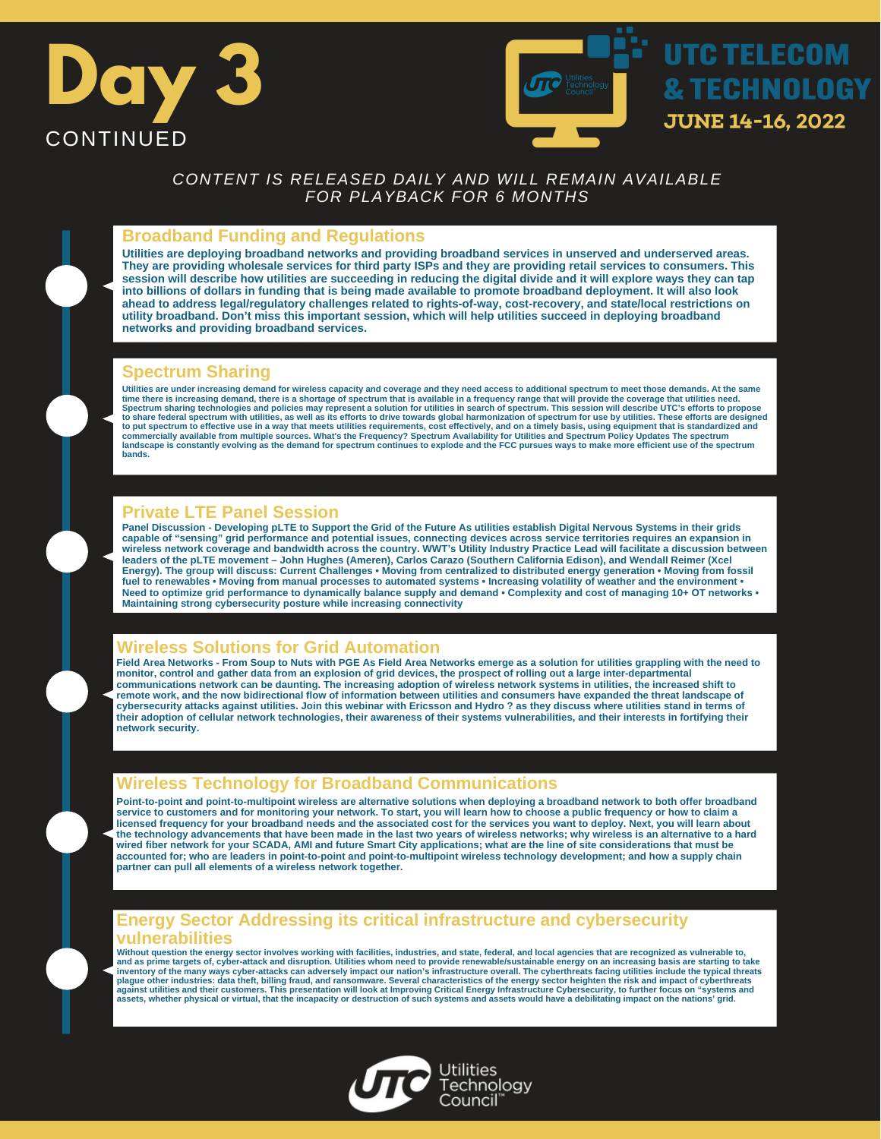



#### **Broadband Funding and Regulations**

**Utilities are deploying broadband networks and providing broadband services in unserved and underserved areas. They are providing wholesale services for third party ISPs and they are providing retail services to consumers. This session will describe how utilities are succeeding in reducing the digital divide and it will explore ways they can tap into billions of dollars in funding that is being made available to promote broadband deployment. It will also look ahead to address legal/regulatory challenges related to rights-of-way, cost-recovery, and state/local restrictions on utility broadband. Don't miss this important session, which will help utilities succeed in deploying broadband networks and providing broadband services.**

#### **Spectrum Sharing**

Utilities are under increasing demand for wireless capacity and coverage and they need access to additional spectrum to meet those demands. At the same<br>time there is increasing demand, there is a shortage of spectrum that **to share federal spectrum with utilities, as well as its efforts to drive towards global harmonization of spectrum for use by utilities. These efforts are designed** to put spectrum to effective use in a way that meets utilities requirements, cost effectively, and on a timely basis, using equipment that is standardized and<br>commercially available from multiple sources. What's the Freque **bands.**

## **Private LTE Panel Session**

**Panel Discussion - Developing pLTE to Support the Grid of the Future As utilities establish Digital Nervous Systems in their grids capable of "sensing" grid performance and potential issues, connecting devices across service territories requires an expansion in wireless network coverage and bandwidth across the country. WWT's Utility Industry Practice Lead will facilitate a discussion between** leaders of the pLTE movement – John Hughes (Ameren), Carlos Carazo (Southern California Edison), and Wendall Reimer (Xcel<br>Energy). The group will discuss: Current Challenges • Moving from centralized to distributed energy **fuel to renewables • Moving from manual processes to automated systems • Increasing volatility of weather and the environment • Need to optimize grid performance to dynamically balance supply and demand • Complexity and cost of managing 10+ OT networks • Maintaining strong cybersecurity posture while increasing connectivity**

## **Wireless Solutions for Grid Automation**

Field Area Networks - From Soup to Nuts with PGE As Field Area Networks emerge as a solution for utilities grappling with the need to<br>monitor, control and gather data from an explosion of grid devices, the prospect of roll **communications network can be daunting. The increasing adoption of wireless network systems in utilities, the increased shift to remote work, and the now bidirectional flow of information between utilities and consumers have expanded the threat landscape of cybersecurity attacks against utilities. Join this webinar with Ericsson and Hydro ? as they discuss where utilities stand in terms of their adoption of cellular network technologies, their awareness of their systems vulnerabilities, and their interests in fortifying their network security.**

## **Wireless Technology for Broadband Communications**

**Point-to-point and point-to-multipoint wireless are alternative solutions when deploying a broadband network to both offer broadband service to customers and for monitoring your network. To start, you will learn how to choose a public frequency or how to claim a licensed frequency for your broadband needs and the associated cost for the services you want to deploy. Next, you will learn about the technology advancements that have been made in the last two years of wireless networks; why wireless is an alternative to a hard wired fiber network for your SCADA, AMI and future Smart City applications; what are the line of site considerations that must be accounted for; who are leaders in point-to-point and point-to-multipoint wireless technology development; and how a supply chain partner can pull all elements of a wireless network together.**

### **Energy Sector Addressing its critical infrastructure and cybersecurity vulnerabilities**

Without question the energy sector involves working with facilities, industries, and state, federal, and local agencies that are recognized as vulnerable to,<br>and as prime targets of, cyber-attack and disruption. Utilities **inventory of the many ways cyber-attacks can adversely impact our nation's infrastructure overall. The cyberthreats facing utilities include the typical threats** plague other industries: data theft, billing fraud, and ransomware. Several characteristics of the energy sector heighten the risk and impact of cyberthreats<br>against utilities and their customers. This presentation will lo